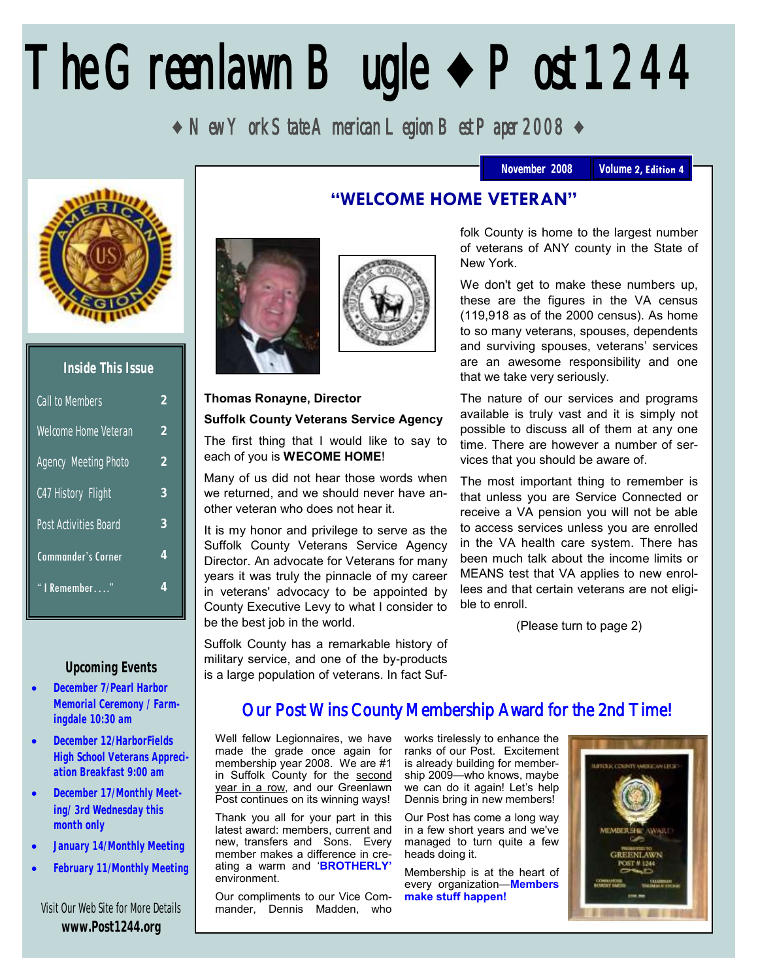# The Greenlawn Bugle **♦** Post 1244

**♦** New York State American Legion Best Paper 2008 **♦**



| Inside This Issue           |               |
|-----------------------------|---------------|
| Call to Members             | 2             |
| Welcome Home Veteran        | $\mathcal{P}$ |
| <b>Agency Meeting Photo</b> | $\mathcal{P}$ |
| C47 History Flight          | 3             |
| Post Activities Board       | 3             |
| <b>Commander's Corner</b>   | 4             |
| l Remember"                 | 4             |

#### **Upcoming Events**

- **December 7/Pearl Harbor Memorial Ceremony / Farmingdale 10:30 am**
- **December 12/HarborFields High School Veterans Appreciation Breakfast 9:00 am**
- **December 17/Monthly Meeting/ 3rd Wednesday this month only**
- **January 14/Monthly Meeting**
- **February 11/Monthly Meeting**

Visit Our Web Site for More Details **www.Post1244.org**

## **"WELCOME HOME VETERAN"**





#### **Thomas Ronayne, Director**

#### **Suffolk County Veterans Service Agency**

The first thing that I would like to say to each of you is **WECOME HOME**!

Many of us did not hear those words when we returned, and we should never have another veteran who does not hear it.

It is my honor and privilege to serve as the Suffolk County Veterans Service Agency Director. An advocate for Veterans for many years it was truly the pinnacle of my career in veterans' advocacy to be appointed by County Executive Levy to what I consider to be the best job in the world.

Suffolk County has a remarkable history of military service, and one of the by-products is a large population of veterans. In fact Suffolk County is home to the largest number of veterans of ANY county in the State of New York.

We don't get to make these numbers up, these are the figures in the VA census (119,918 as of the 2000 census). As home to so many veterans, spouses, dependents and surviving spouses, veterans' services are an awesome responsibility and one that we take very seriously.

The nature of our services and programs available is truly vast and it is simply not possible to discuss all of them at any one time. There are however a number of services that you should be aware of.

The most important thing to remember is that unless you are Service Connected or receive a VA pension you will not be able to access services unless you are enrolled in the VA health care system. There has been much talk about the income limits or MEANS test that VA applies to new enrollees and that certain veterans are not eligible to enroll.

(Please turn to page 2)

# Our Post Wins County Membership Award for the 2nd Time!

Well fellow Legionnaires, we have made the grade once again for membership year 2008. We are #1 in Suffolk County for the second year in a row, and our Greenlawn Post continues on its winning ways!

Thank you all for your part in this latest award: members, current and new, transfers and Sons. Every member makes a difference in creating a warm and '**BROTHERLY'** environment.

Our compliments to our Vice Commander, Dennis Madden, who works tirelessly to enhance the ranks of our Post. Excitement is already building for membership 2009—who knows, maybe we can do it again! Let's help Dennis bring in new members!

Our Post has come a long way in a few short years and we've managed to turn quite a few heads doing it.

Membership is at the heart of every organization—**Members make stuff happen!** 



November 2008 | Volume 2, Edition 4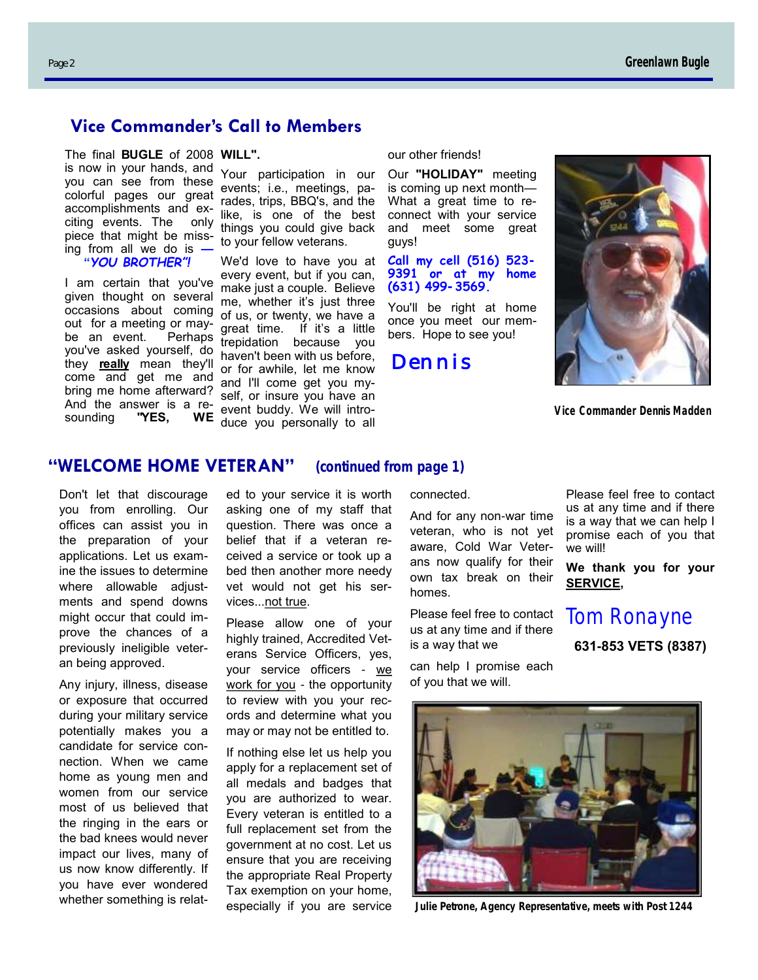### **Vice Commander's Call to Members**

The final **BUGLE** of 2008 **WILL".** is now in your hands, and you can see from these colorful pages our great accomplishments and exciting events. The only piece that might be missing from all we do is **— — "***YOU BROTHER"!*

I am certain that you've given thought on several occasions about coming out for a meeting or maybe an event. Perhaps you've asked yourself, do they **really** mean they'll come and get me and bring me home afterward? And the answer is a resounding **"YES, WE** 

Your participation in our events; i.e., meetings, parades, trips, BBQ's, and the like, is one of the best things you could give back to your fellow veterans.

We'd love to have you at every event, but if you can, make just a couple. Believe me, whether it's just three of us, or twenty, we have a great time. If it's a little trepidation because you haven't been with us before, or for awhile, let me know and I'll come get you myself, or insure you have an event buddy. We will introduce you personally to all

#### our other friends!

Our **"HOLIDAY"** meeting is coming up next month— What a great time to reconnect with your service and meet some great guys!

**Call my cell (516) 523- 9391 or at my home (631) 499-3569.**

You'll be right at home once you meet our members. Hope to see you!

*Dennis* 



*Vice Commander Dennis Madden*

#### **"WELCOME HOME VETERAN" (continued from page 1)**

Don't let that discourage you from enrolling. Our offices can assist you in the preparation of your applications. Let us examine the issues to determine where allowable adjustments and spend downs might occur that could improve the chances of a previously ineligible veteran being approved.

Any injury, illness, disease or exposure that occurred during your military service potentially makes you a candidate for service connection. When we came home as young men and women from our service most of us believed that the ringing in the ears or the bad knees would never impact our lives, many of us now know differently. If you have ever wondered whether something is related to your service it is worth asking one of my staff that question. There was once a belief that if a veteran received a service or took up a bed then another more needy vet would not get his services...not true.

Please allow one of your highly trained, Accredited Veterans Service Officers, yes, your service officers - we work for you - the opportunity to review with you your records and determine what you may or may not be entitled to.

If nothing else let us help you apply for a replacement set of all medals and badges that you are authorized to wear. Every veteran is entitled to a full replacement set from the government at no cost. Let us ensure that you are receiving the appropriate Real Property Tax exemption on your home, especially if you are service connected.

And for any non-war time veteran, who is not yet aware, Cold War Veterans now qualify for their own tax break on their homes.

Please feel free to contact us at any time and if there is a way that we

can help I promise each of you that we will.

Please feel free to contact us at any time and if there is a way that we can help I promise each of you that we will!

**We thank you for your SERVICE,**

*Tom Ronayne*

**631-853 VETS (8387)**



**Julie Petrone, Agency Representative, meets with Post 1244**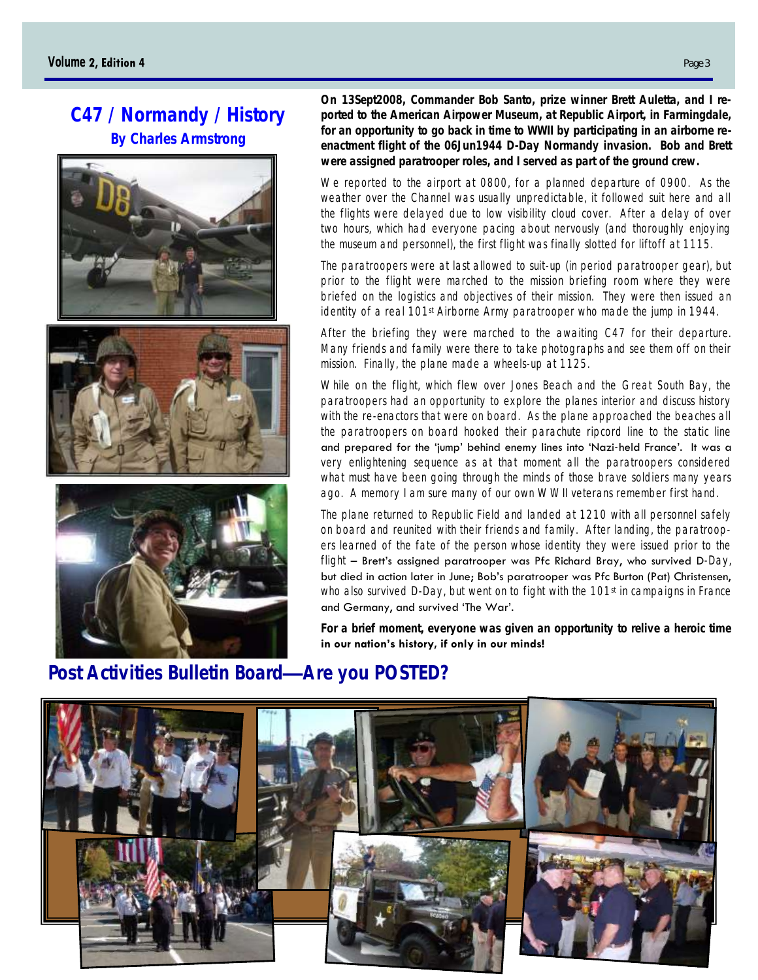# **C47 / Normandy / History By Charles Armstrong**







**On 13Sept2008, Commander Bob Santo, prize winner Brett Auletta, and I reported to the American Airpower Museum, at Republic Airport, in Farmingdale, for an opportunity to go back in time to WWII by participating in an airborne reenactment flight of the 06Jun1944 D-Day Normandy invasion. Bob and Brett were assigned paratrooper roles, and I served as part of the ground crew.** 

We reported to the airport at 0800, for a planned departure of 0900. As the weather over the Channel was usually unpredictable, it followed suit here and all the flights were delayed due to low visibility cloud cover. After a delay of over two hours, which had everyone pacing about nervously (and thoroughly enjoying the museum and personnel), the first flight was finally slotted for liftoff at 1115.

The paratroopers were at last allowed to suit-up (in period paratrooper gear), but prior to the flight were marched to the mission briefing room where they were briefed on the logistics and objectives of their mission. They were then issued an identity of a real 101<sup>st</sup> Airborne Army paratrooper who made the jump in 1944.

After the briefing they were marched to the awaiting C47 for their departure. Many friends and family were there to take photographs and see them off on their mission. Finally, the plane made a wheels-up at 1125.

While on the flight, which flew over Jones Beach and the Great South Bay, the paratroopers had an opportunity to explore the planes interior and discuss history with the re-enactors that were on board. As the plane approached the beaches all the paratroopers on board hooked their parachute ripcord line to the static line and prepared for the 'jump' behind enemy lines into 'Nazi-held France'. It was a very enlightening sequence as at that moment all the paratroopers considered what must have been going through the minds of those brave soldiers many years ago. A memory I am sure many of our own WWII veterans remember first hand.

The plane returned to Republic Field and landed at 1210 with all personnel safely on board and reunited with their friends and family. After landing, the paratroopers learned of the fate of the person whose identity they were issued prior to the flight – Brett's assigned paratrooper was Pfc Richard Bray, who survived D-Day, but died in action later in June; Bob's paratrooper was Pfc Burton (Pat) Christensen, who also survived D-Day, but went on to fight with the 101<sup>st</sup> in campaigns in France and Germany, and survived 'The War'.

**For a brief moment, everyone was given an opportunity to relive a heroic time in our nation's history, if only in our minds!**

# **Post Activities Bulletin Board—Are you POSTED?**